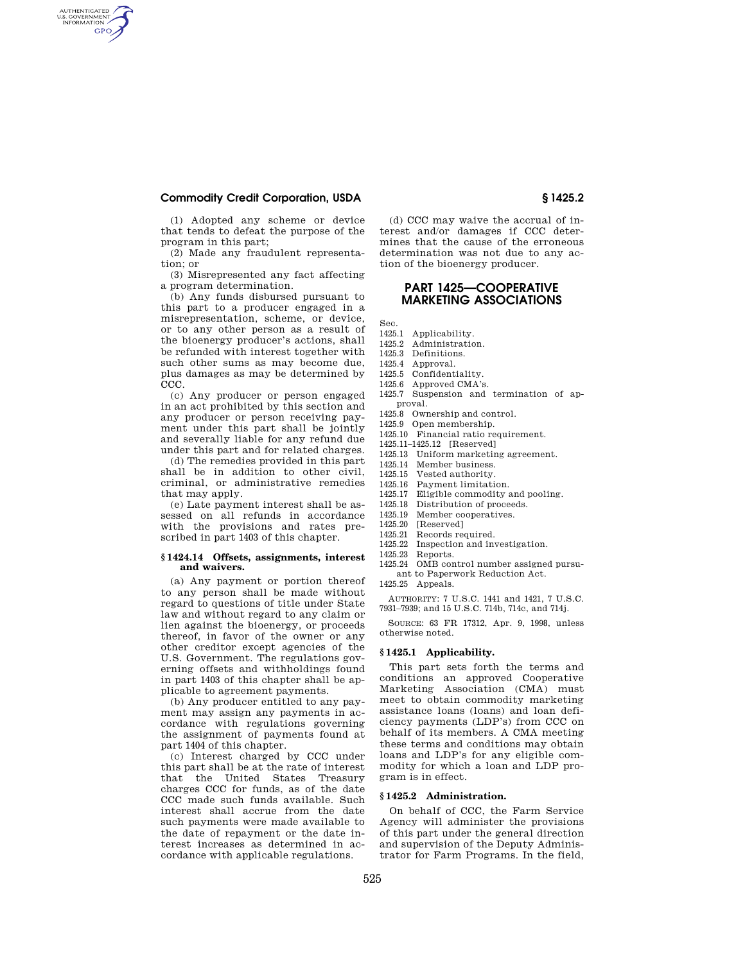## **Commodity Credit Corporation, USDA § 1425.2**

AUTHENTICATED<br>U.S. GOVERNMENT<br>INFORMATION **GPO** 

> (1) Adopted any scheme or device that tends to defeat the purpose of the program in this part;

(2) Made any fraudulent representation; or

(3) Misrepresented any fact affecting a program determination.

(b) Any funds disbursed pursuant to this part to a producer engaged in a misrepresentation, scheme, or device, or to any other person as a result of the bioenergy producer's actions, shall be refunded with interest together with such other sums as may become due, plus damages as may be determined by CCC.

(c) Any producer or person engaged in an act prohibited by this section and any producer or person receiving payment under this part shall be jointly and severally liable for any refund due under this part and for related charges.

(d) The remedies provided in this part shall be in addition to other civil, criminal, or administrative remedies that may apply.

(e) Late payment interest shall be assessed on all refunds in accordance with the provisions and rates prescribed in part 1403 of this chapter.

### **§ 1424.14 Offsets, assignments, interest and waivers.**

(a) Any payment or portion thereof to any person shall be made without regard to questions of title under State law and without regard to any claim or lien against the bioenergy, or proceeds thereof, in favor of the owner or any other creditor except agencies of the U.S. Government. The regulations governing offsets and withholdings found in part 1403 of this chapter shall be applicable to agreement payments.

(b) Any producer entitled to any payment may assign any payments in accordance with regulations governing the assignment of payments found at part 1404 of this chapter.

(c) Interest charged by CCC under this part shall be at the rate of interest that the United States Treasury charges CCC for funds, as of the date CCC made such funds available. Such interest shall accrue from the date such payments were made available to the date of repayment or the date interest increases as determined in accordance with applicable regulations.

(d) CCC may waive the accrual of interest and/or damages if CCC determines that the cause of the erroneous determination was not due to any action of the bioenergy producer.

# **PART 1425—COOPERATIVE MARKETING ASSOCIATIONS**

Sec.<br>1425.1

- Applicability.
- 1425.2 Administration.
- 1425.3 Definitions.
- 1425.4 Approval.
- 1425.5 Confidentiality.
- 1425.6 Approved CMA's.
- 1425.7 Suspension and termination of approval.
- 1425.8 Ownership and control.
- 1425.9 Open membership.
- 1425.10 Financial ratio requirement.
- 1425.11–1425.12 [Reserved]
- 1425.13 Uniform marketing agreement.
- 1425.14 Member business.
- 1425.15 Vested authority.
- 1425.16 Payment limitation.<br>1425.17 Eligible commodity: Eligible commodity and pooling.
- 
- 1425.18 Distribution of proceeds.<br>1425.19 Member cooperatives.
- 1425.19 Member cooperatives.<br>1425.20 [Reserved]
- 1425.20 [Reserved]<br>1425.21 Records req Records required.
- 1425.22 Inspection and investigation.
- 1425.23 Reports.
- 1425.24 OMB control number assigned pursuant to Paperwork Reduction Act.
- 1425.25 Appeals.

AUTHORITY: 7 U.S.C. 1441 and 1421, 7 U.S.C. 7931–7939; and 15 U.S.C. 714b, 714c, and 714j.

SOURCE: 63 FR 17312, Apr. 9, 1998, unless otherwise noted.

### **§ 1425.1 Applicability.**

This part sets forth the terms and conditions an approved Cooperative Marketing Association (CMA) must meet to obtain commodity marketing assistance loans (loans) and loan deficiency payments (LDP's) from CCC on behalf of its members. A CMA meeting these terms and conditions may obtain loans and LDP's for any eligible commodity for which a loan and LDP program is in effect.

## **§ 1425.2 Administration.**

On behalf of CCC, the Farm Service Agency will administer the provisions of this part under the general direction and supervision of the Deputy Administrator for Farm Programs. In the field,